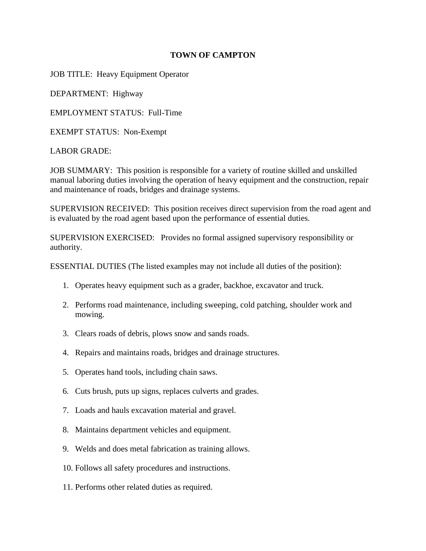## **TOWN OF CAMPTON**

JOB TITLE: Heavy Equipment Operator

DEPARTMENT: Highway

EMPLOYMENT STATUS: Full-Time

EXEMPT STATUS: Non-Exempt

LABOR GRADE:

JOB SUMMARY: This position is responsible for a variety of routine skilled and unskilled manual laboring duties involving the operation of heavy equipment and the construction, repair and maintenance of roads, bridges and drainage systems.

SUPERVISION RECEIVED: This position receives direct supervision from the road agent and is evaluated by the road agent based upon the performance of essential duties.

SUPERVISION EXERCISED: Provides no formal assigned supervisory responsibility or authority.

ESSENTIAL DUTIES (The listed examples may not include all duties of the position):

- 1. Operates heavy equipment such as a grader, backhoe, excavator and truck.
- 2. Performs road maintenance, including sweeping, cold patching, shoulder work and mowing.
- 3. Clears roads of debris, plows snow and sands roads.
- 4. Repairs and maintains roads, bridges and drainage structures.
- 5. Operates hand tools, including chain saws.
- 6. Cuts brush, puts up signs, replaces culverts and grades.
- 7. Loads and hauls excavation material and gravel.
- 8. Maintains department vehicles and equipment.
- 9. Welds and does metal fabrication as training allows.
- 10. Follows all safety procedures and instructions.
- 11. Performs other related duties as required.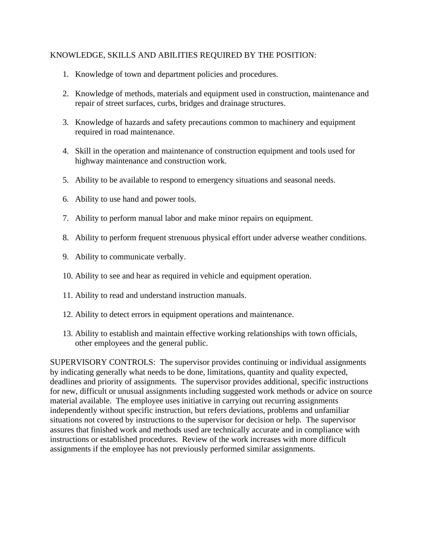## KNOWLEDGE, SKILLS AND ABILITIES REQUIRED BY THE POSITION:

- 1. Knowledge of town and department policies and procedures.
- 2. Knowledge of methods, materials and equipment used in construction, maintenance and repair of street surfaces, curbs, bridges and drainage structures.
- 3. Knowledge of hazards and safety precautions common to machinery and equipment required in road maintenance.
- 4. Skill in the operation and maintenance of construction equipment and tools used for highway maintenance and construction work.
- 5. Ability to be available to respond to emergency situations and seasonal needs.
- 6. Ability to use hand and power tools.
- 7. Ability to perform manual labor and make minor repairs on equipment.
- 8. Ability to perform frequent strenuous physical effort under adverse weather conditions.
- 9. Ability to communicate verbally.
- 10. Ability to see and hear as required in vehicle and equipment operation.
- 11. Ability to read and understand instruction manuals.
- 12. Ability to detect errors in equipment operations and maintenance.
- 13. Ability to establish and maintain effective working relationships with town officials, other employees and the general public.

SUPERVISORY CONTROLS: The supervisor provides continuing or individual assignments by indicating generally what needs to be done, limitations, quantity and quality expected, deadlines and priority of assignments. The supervisor provides additional, specific instructions for new, difficult or unusual assignments including suggested work methods or advice on source material available. The employee uses initiative in carrying out recurring assignments independently without specific instruction, but refers deviations, problems and unfamiliar situations not covered by instructions to the supervisor for decision or help. The supervisor assures that finished work and methods used are technically accurate and in compliance with instructions or established procedures. Review of the work increases with more difficult assignments if the employee has not previously performed similar assignments.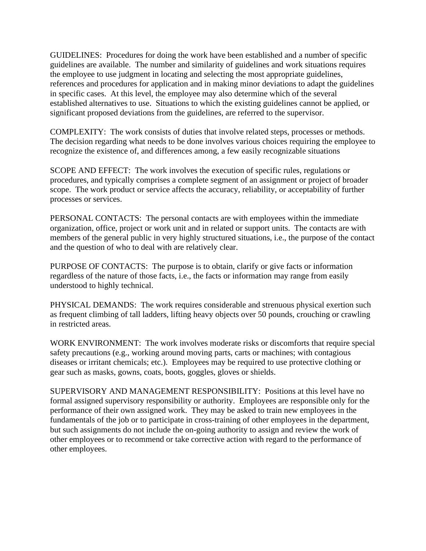GUIDELINES: Procedures for doing the work have been established and a number of specific guidelines are available. The number and similarity of guidelines and work situations requires the employee to use judgment in locating and selecting the most appropriate guidelines, references and procedures for application and in making minor deviations to adapt the guidelines in specific cases. At this level, the employee may also determine which of the several established alternatives to use. Situations to which the existing guidelines cannot be applied, or significant proposed deviations from the guidelines, are referred to the supervisor.

COMPLEXITY: The work consists of duties that involve related steps, processes or methods. The decision regarding what needs to be done involves various choices requiring the employee to recognize the existence of, and differences among, a few easily recognizable situations

SCOPE AND EFFECT: The work involves the execution of specific rules, regulations or procedures, and typically comprises a complete segment of an assignment or project of broader scope. The work product or service affects the accuracy, reliability, or acceptability of further processes or services.

PERSONAL CONTACTS: The personal contacts are with employees within the immediate organization, office, project or work unit and in related or support units. The contacts are with members of the general public in very highly structured situations, i.e., the purpose of the contact and the question of who to deal with are relatively clear.

PURPOSE OF CONTACTS: The purpose is to obtain, clarify or give facts or information regardless of the nature of those facts, i.e., the facts or information may range from easily understood to highly technical.

PHYSICAL DEMANDS: The work requires considerable and strenuous physical exertion such as frequent climbing of tall ladders, lifting heavy objects over 50 pounds, crouching or crawling in restricted areas.

WORK ENVIRONMENT: The work involves moderate risks or discomforts that require special safety precautions (e.g., working around moving parts, carts or machines; with contagious diseases or irritant chemicals; etc.). Employees may be required to use protective clothing or gear such as masks, gowns, coats, boots, goggles, gloves or shields.

SUPERVISORY AND MANAGEMENT RESPONSIBILITY: Positions at this level have no formal assigned supervisory responsibility or authority. Employees are responsible only for the performance of their own assigned work. They may be asked to train new employees in the fundamentals of the job or to participate in cross-training of other employees in the department, but such assignments do not include the on-going authority to assign and review the work of other employees or to recommend or take corrective action with regard to the performance of other employees.